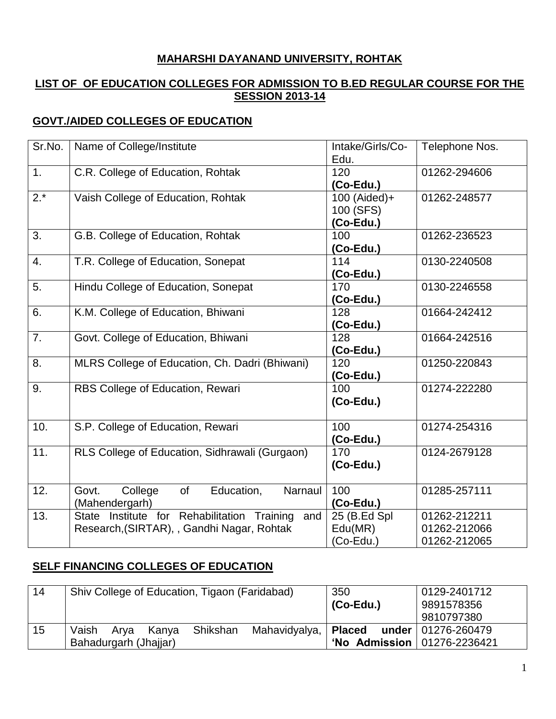### **MAHARSHI DAYANAND UNIVERSITY, ROHTAK**

### **LIST OF OF EDUCATION COLLEGES FOR ADMISSION TO B.ED REGULAR COURSE FOR THE SESSION 2013-14**

## **GOVT./AIDED COLLEGES OF EDUCATION**

| Sr.No. | Name of College/Institute                                                                     | Intake/Girls/Co-<br>Edu.               | Telephone Nos.                               |
|--------|-----------------------------------------------------------------------------------------------|----------------------------------------|----------------------------------------------|
| 1.     | C.R. College of Education, Rohtak                                                             | 120<br>(Co-Edu.)                       | 01262-294606                                 |
| $2.*$  | Vaish College of Education, Rohtak                                                            | 100 (Aided)+<br>100 (SFS)<br>(Co-Edu.) | 01262-248577                                 |
| 3.     | G.B. College of Education, Rohtak                                                             | 100<br>(Co-Edu.)                       | 01262-236523                                 |
| 4.     | T.R. College of Education, Sonepat                                                            | 114<br>(Co-Edu.)                       | 0130-2240508                                 |
| 5.     | Hindu College of Education, Sonepat                                                           | 170<br>(Co-Edu.)                       | 0130-2246558                                 |
| 6.     | K.M. College of Education, Bhiwani                                                            | 128<br>(Co-Edu.)                       | 01664-242412                                 |
| 7.     | Govt. College of Education, Bhiwani                                                           | 128<br>(Co-Edu.)                       | 01664-242516                                 |
| 8.     | MLRS College of Education, Ch. Dadri (Bhiwani)                                                | 120<br>$(Co-Edu.)$                     | 01250-220843                                 |
| 9.     | RBS College of Education, Rewari                                                              | 100<br>(Co-Edu.)                       | 01274-222280                                 |
| 10.    | S.P. College of Education, Rewari                                                             | 100<br>(Co-Edu.)                       | 01274-254316                                 |
| 11.    | RLS College of Education, Sidhrawali (Gurgaon)                                                | 170<br>(Co-Edu.)                       | 0124-2679128                                 |
| 12.    | Education,<br>of<br>Narnaul<br>Govt.<br>College<br>(Mahendergarh)                             | 100<br>(Co-Edu.)                       | 01285-257111                                 |
| 13.    | State Institute for Rehabilitation Training and<br>Research, (SIRTAR), , Gandhi Nagar, Rohtak | 25 (B.Ed Spl<br>Edu(MR)<br>(Co-Edu.)   | 01262-212211<br>01262-212066<br>01262-212065 |

### **SELF FINANCING COLLEGES OF EDUCATION**

| 14 | Shiv College of Education, Tigaon (Faridabad)                       | 350                                      | 0129-2401712             |
|----|---------------------------------------------------------------------|------------------------------------------|--------------------------|
|    |                                                                     | $(Co$ -Edu.)                             | 9891578356               |
|    |                                                                     |                                          | 9810797380               |
| 15 | Vaish<br>Shikshan<br>Mahavidyalya,   <b>Placed</b><br>Kanva<br>Arva |                                          | under   $01276 - 260479$ |
|    | Bahadurgarh (Jhajjar)                                               | <b>'No Admission</b>   $01276 - 2236421$ |                          |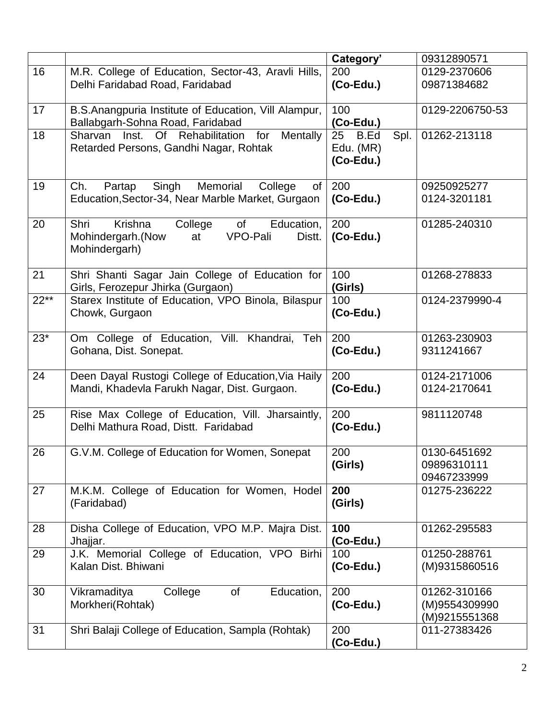|        |                                                                                          | Category'       | 09312890571     |
|--------|------------------------------------------------------------------------------------------|-----------------|-----------------|
| 16     | M.R. College of Education, Sector-43, Aravli Hills,                                      | 200             | 0129-2370606    |
|        | Delhi Faridabad Road, Faridabad                                                          | (Co-Edu.)       | 09871384682     |
| 17     | B.S.Anangpuria Institute of Education, Vill Alampur,                                     | 100             | 0129-2206750-53 |
|        | Ballabgarh-Sohna Road, Faridabad                                                         | $(Co-Edu.)$     |                 |
| 18     | Of Rehabilitation for<br>Sharvan Inst.<br>Mentally                                       | 25 B.Ed<br>Spl. | 01262-213118    |
|        | Retarded Persons, Gandhi Nagar, Rohtak                                                   | Edu. (MR)       |                 |
|        |                                                                                          | (Co-Edu.)       |                 |
| 19     | Memorial<br>Ch.<br>Singh<br>College<br>Partap<br>of                                      | 200             | 09250925277     |
|        | Education, Sector-34, Near Marble Market, Gurgaon                                        | $(Co$ -Edu.)    | 0124-3201181    |
|        |                                                                                          |                 |                 |
| 20     | Krishna<br>Shri<br>College<br>of<br>Education,                                           | 200             | 01285-240310    |
|        | VPO-Pali<br>Mohindergarh.(Now<br>at<br>Distt.                                            | $(Co-Edu.)$     |                 |
|        | Mohindergarh)                                                                            |                 |                 |
|        |                                                                                          |                 |                 |
| 21     | Shri Shanti Sagar Jain College of Education for                                          | 100             | 01268-278833    |
| $22**$ | Girls, Ferozepur Jhirka (Gurgaon)<br>Starex Institute of Education, VPO Binola, Bilaspur | (Girls)<br>100  | 0124-2379990-4  |
|        | Chowk, Gurgaon                                                                           | $(Co-Edu.)$     |                 |
|        |                                                                                          |                 |                 |
| $23*$  | Om College of Education, Vill. Khandrai, Teh                                             | 200             | 01263-230903    |
|        | Gohana, Dist. Sonepat.                                                                   | $(Co$ -Edu.)    | 9311241667      |
|        |                                                                                          |                 |                 |
| 24     | Deen Dayal Rustogi College of Education, Via Haily                                       | 200             | 0124-2171006    |
|        | Mandi, Khadevla Farukh Nagar, Dist. Gurgaon.                                             | $(Co$ -Edu.)    | 0124-2170641    |
|        |                                                                                          |                 |                 |
| 25     | Rise Max College of Education, Vill. Jharsaintly,                                        | 200             | 9811120748      |
|        | Delhi Mathura Road, Distt. Faridabad                                                     | $(Co-Edu.)$     |                 |
| 26     | G.V.M. College of Education for Women, Sonepat                                           | 200             | 0130-6451692    |
|        |                                                                                          | (Girls)         | 09896310111     |
|        |                                                                                          |                 | 09467233999     |
| 27     | M.K.M. College of Education for Women, Hodel                                             | 200             | 01275-236222    |
|        | (Faridabad)                                                                              | (Girls)         |                 |
|        |                                                                                          |                 |                 |
| 28     | Disha College of Education, VPO M.P. Majra Dist.                                         | 100             | 01262-295583    |
|        | Jhajjar.                                                                                 | $(Co$ -Edu.)    |                 |
| 29     | J.K. Memorial College of Education, VPO Birhi                                            | 100             | 01250-288761    |
|        | Kalan Dist. Bhiwani                                                                      | (Co-Edu.)       | (M)9315860516   |
|        |                                                                                          |                 |                 |
| 30     | Education,<br>Vikramaditya<br>College<br><b>of</b>                                       | 200             | 01262-310166    |
|        | Morkheri(Rohtak)                                                                         | $(Co$ -Edu.)    | (M)9554309990   |
|        |                                                                                          |                 | (M)9215551368   |
| 31     | Shri Balaji College of Education, Sampla (Rohtak)                                        | 200             | 011-27383426    |
|        |                                                                                          | $(Co-Edu.)$     |                 |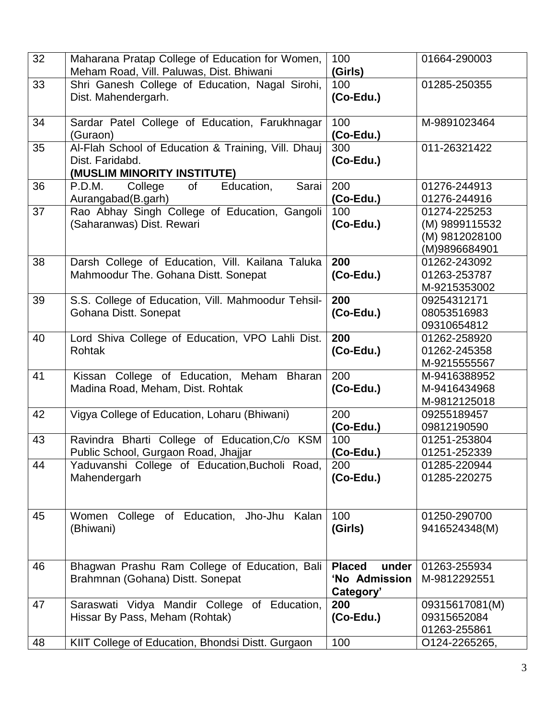| 32 | Maharana Pratap College of Education for Women,                                                       | 100                                                  | 01664-290003                                                      |
|----|-------------------------------------------------------------------------------------------------------|------------------------------------------------------|-------------------------------------------------------------------|
|    | Meham Road, Vill. Paluwas, Dist. Bhiwani                                                              | (Girls)                                              |                                                                   |
| 33 | Shri Ganesh College of Education, Nagal Sirohi,<br>Dist. Mahendergarh.                                | 100<br>(Co-Edu.)                                     | 01285-250355                                                      |
| 34 | Sardar Patel College of Education, Farukhnagar<br>(Guraon)                                            | 100<br>$(Co$ -Edu.)                                  | M-9891023464                                                      |
| 35 | Al-Flah School of Education & Training, Vill. Dhauj<br>Dist. Faridabd.<br>(MUSLIM MINORITY INSTITUTE) | 300<br>(Co-Edu.)                                     | 011-26321422                                                      |
| 36 | P.D.M.<br>College<br>of<br>Education,<br>Sarai<br>Aurangabad(B.garh)                                  | 200<br>(Co-Edu.)                                     | 01276-244913<br>01276-244916                                      |
| 37 | Rao Abhay Singh College of Education, Gangoli<br>(Saharanwas) Dist. Rewari                            | 100<br>(Co-Edu.)                                     | 01274-225253<br>(M) 9899115532<br>(M) 9812028100<br>(M)9896684901 |
| 38 | Darsh College of Education, Vill. Kailana Taluka<br>Mahmoodur The. Gohana Distt. Sonepat              | 200<br>(Co-Edu.)                                     | 01262-243092<br>01263-253787<br>M-9215353002                      |
| 39 | S.S. College of Education, Vill. Mahmoodur Tehsil-<br>Gohana Distt. Sonepat                           | 200<br>(Co-Edu.)                                     | 09254312171<br>08053516983<br>09310654812                         |
| 40 | Lord Shiva College of Education, VPO Lahli Dist.<br><b>Rohtak</b>                                     | 200<br>(Co-Edu.)                                     | 01262-258920<br>01262-245358<br>M-9215555567                      |
| 41 | Kissan College of Education, Meham<br><b>Bharan</b><br>Madina Road, Meham, Dist. Rohtak               | 200<br>(Co-Edu.)                                     | M-9416388952<br>M-9416434968<br>M-9812125018                      |
| 42 | Vigya College of Education, Loharu (Bhiwani)                                                          | 200<br>(Co-Edu.)                                     | 09255189457<br>09812190590                                        |
| 43 | Ravindra Bharti College of Education, C/o KSM<br>Public School, Gurgaon Road, Jhajjar                 | 100<br>$(Co$ -Edu.)                                  | 01251-253804<br>01251-252339                                      |
| 44 | Yaduvanshi College of Education, Bucholi Road,<br>Mahendergarh                                        | 200<br>(Co-Edu.)                                     | 01285-220944<br>01285-220275                                      |
| 45 | Women College of Education, Jho-Jhu Kalan<br>(Bhiwani)                                                | 100<br>(Girls)                                       | 01250-290700<br>9416524348(M)                                     |
| 46 | Bhagwan Prashu Ram College of Education, Bali<br>Brahmnan (Gohana) Distt. Sonepat                     | <b>Placed</b><br>under<br>'No Admission<br>Category' | 01263-255934<br>M-9812292551                                      |
| 47 | of Education,<br>Saraswati Vidya Mandir College<br>Hissar By Pass, Meham (Rohtak)                     | 200<br>(Co-Edu.)                                     | 09315617081(M)<br>09315652084<br>01263-255861                     |
| 48 | KIIT College of Education, Bhondsi Distt. Gurgaon                                                     | 100                                                  | O124-2265265,                                                     |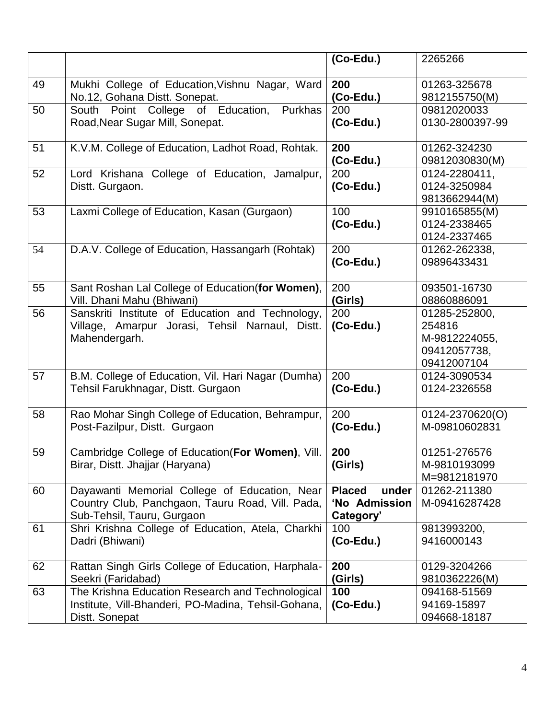|    |                                                                                                                                 | (Co-Edu.)                                            | 2265266                                                                 |
|----|---------------------------------------------------------------------------------------------------------------------------------|------------------------------------------------------|-------------------------------------------------------------------------|
| 49 | Mukhi College of Education, Vishnu Nagar, Ward<br>No.12, Gohana Distt. Sonepat.                                                 | 200<br>$(Co$ -Edu.)                                  | 01263-325678<br>9812155750(M)                                           |
| 50 | South Point College of Education,<br>Purkhas<br>Road, Near Sugar Mill, Sonepat.                                                 | 200<br>(Co-Edu.)                                     | 09812020033<br>0130-2800397-99                                          |
| 51 | K.V.M. College of Education, Ladhot Road, Rohtak.                                                                               | 200<br>$(Co$ -Edu.)                                  | 01262-324230<br>09812030830(M)                                          |
| 52 | Lord Krishana College of Education, Jamalpur,<br>Distt. Gurgaon.                                                                | 200<br>$(Co$ -Edu.)                                  | 0124-2280411,<br>0124-3250984<br>9813662944(M)                          |
| 53 | Laxmi College of Education, Kasan (Gurgaon)                                                                                     | 100<br>(Co-Edu.)                                     | 9910165855(M)<br>0124-2338465<br>0124-2337465                           |
| 54 | D.A.V. College of Education, Hassangarh (Rohtak)                                                                                | 200<br>$(Co$ -Edu.)                                  | 01262-262338,<br>09896433431                                            |
| 55 | Sant Roshan Lal College of Education(for Women),<br>Vill. Dhani Mahu (Bhiwani)                                                  | 200<br>(Girls)                                       | 093501-16730<br>08860886091                                             |
| 56 | Sanskriti Institute of Education and Technology,<br>Village, Amarpur Jorasi, Tehsil Narnaul, Distt.<br>Mahendergarh.            | 200<br>$(Co$ -Edu.)                                  | 01285-252800,<br>254816<br>M-9812224055,<br>09412057738,<br>09412007104 |
| 57 | B.M. College of Education, Vil. Hari Nagar (Dumha)<br>Tehsil Farukhnagar, Distt. Gurgaon                                        | 200<br>$(Co$ -Edu.)                                  | 0124-3090534<br>0124-2326558                                            |
| 58 | Rao Mohar Singh College of Education, Behrampur,<br>Post-Fazilpur, Distt. Gurgaon                                               | 200<br>$(Co-Edu.)$                                   | 0124-2370620(O)<br>M-09810602831                                        |
| 59 | Cambridge College of Education (For Women), Vill.<br>Birar, Distt. Jhajjar (Haryana)                                            | 200<br>(Girls)                                       | 01251-276576<br>M-9810193099<br>M=9812181970                            |
| 60 | Dayawanti Memorial College of Education, Near<br>Country Club, Panchgaon, Tauru Road, Vill. Pada,<br>Sub-Tehsil, Tauru, Gurgaon | <b>Placed</b><br>under<br>'No Admission<br>Category' | 01262-211380<br>M-09416287428                                           |
| 61 | Shri Krishna College of Education, Atela, Charkhi<br>Dadri (Bhiwani)                                                            | 100<br>$(Co-Edu.)$                                   | 9813993200,<br>9416000143                                               |
| 62 | Rattan Singh Girls College of Education, Harphala-<br>Seekri (Faridabad)                                                        | 200<br>(Girls)                                       | 0129-3204266<br>9810362226(M)                                           |
| 63 | The Krishna Education Research and Technological<br>Institute, Vill-Bhanderi, PO-Madina, Tehsil-Gohana,<br>Distt. Sonepat       | 100<br>$(Co-Edu.)$                                   | 094168-51569<br>94169-15897<br>094668-18187                             |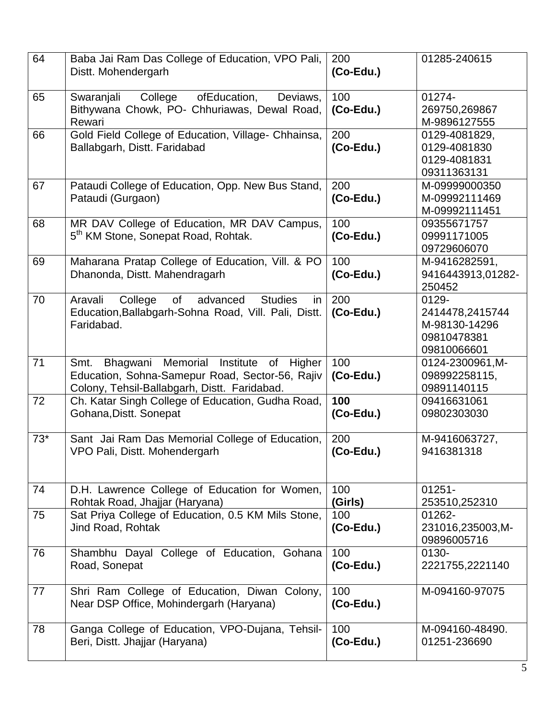| 64    | Baba Jai Ram Das College of Education, VPO Pali,<br>Distt. Mohendergarh                                                                          | 200<br>(Co-Edu.)    | 01285-240615                                                            |
|-------|--------------------------------------------------------------------------------------------------------------------------------------------------|---------------------|-------------------------------------------------------------------------|
| 65    | Swaranjali<br>College<br>ofEducation,<br>Deviaws,<br>Bithywana Chowk, PO- Chhuriawas, Dewal Road,<br>Rewari                                      | 100<br>$(Co$ -Edu.) | 01274-<br>269750,269867<br>M-9896127555                                 |
| 66    | Gold Field College of Education, Village- Chhainsa,<br>Ballabgarh, Distt. Faridabad                                                              | 200<br>(Co-Edu.)    | 0129-4081829,<br>0129-4081830<br>0129-4081831<br>09311363131            |
| 67    | Pataudi College of Education, Opp. New Bus Stand,<br>Pataudi (Gurgaon)                                                                           | 200<br>(Co-Edu.)    | M-09999000350<br>M-09992111469<br>M-09992111451                         |
| 68    | MR DAV College of Education, MR DAV Campus,<br>5 <sup>th</sup> KM Stone, Sonepat Road, Rohtak.                                                   | 100<br>(Co-Edu.)    | 09355671757<br>09991171005<br>09729606070                               |
| 69    | Maharana Pratap College of Education, Vill. & PO<br>Dhanonda, Distt. Mahendragarh                                                                | 100<br>(Co-Edu.)    | M-9416282591,<br>9416443913,01282-<br>250452                            |
| 70    | of<br>Aravali<br>College<br>advanced<br><b>Studies</b><br>in<br>Education, Ballabgarh-Sohna Road, Vill. Pali, Distt.<br>Faridabad.               | 200<br>(Co-Edu.)    | 0129-<br>2414478,2415744<br>M-98130-14296<br>09810478381<br>09810066601 |
| 71    | Bhagwani Memorial Institute of Higher<br>Smt.<br>Education, Sohna-Samepur Road, Sector-56, Rajiv<br>Colony, Tehsil-Ballabgarh, Distt. Faridabad. | 100<br>$(Co$ -Edu.) | 0124-2300961, M-<br>098992258115,<br>09891140115                        |
| 72    | Ch. Katar Singh College of Education, Gudha Road,<br>Gohana, Distt. Sonepat                                                                      | 100<br>(Co-Edu.)    | 09416631061<br>09802303030                                              |
| $73*$ | Sant Jai Ram Das Memorial College of Education,<br>VPO Pali, Distt. Mohendergarh                                                                 | 200<br>(Co-Edu.)    | M-9416063727,<br>9416381318                                             |
| 74    | D.H. Lawrence College of Education for Women,<br>Rohtak Road, Jhajjar (Haryana)                                                                  | 100<br>(Girls)      | $01251 -$<br>253510,252310                                              |
| 75    | Sat Priya College of Education, 0.5 KM Mils Stone,<br>Jind Road, Rohtak                                                                          | 100<br>(Co-Edu.)    | 01262-<br>231016,235003,M-<br>09896005716                               |
| 76    | Shambhu Dayal College of Education, Gohana<br>Road, Sonepat                                                                                      | 100<br>(Co-Edu.)    | 0130-<br>2221755,2221140                                                |
| 77    | Shri Ram College of Education, Diwan Colony,<br>Near DSP Office, Mohindergarh (Haryana)                                                          | 100<br>$(Co-Edu.)$  | M-094160-97075                                                          |
| 78    | Ganga College of Education, VPO-Dujana, Tehsil-<br>Beri, Distt. Jhajjar (Haryana)                                                                | 100<br>$(Co$ -Edu.) | M-094160-48490.<br>01251-236690                                         |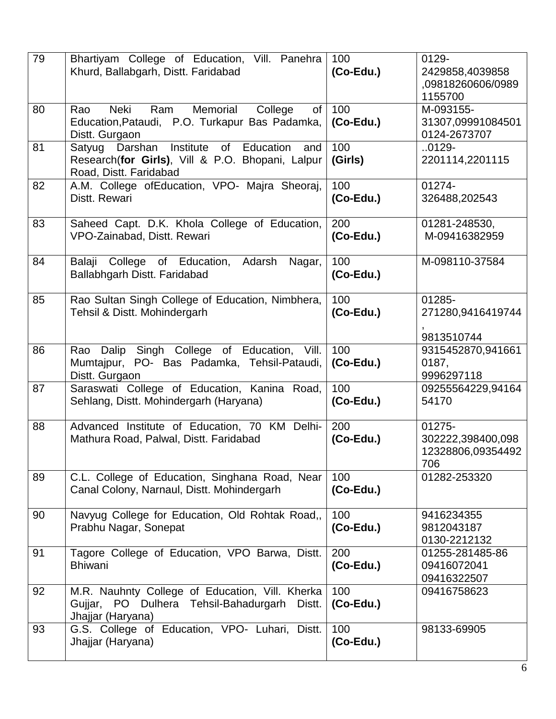| 79 | Bhartiyam College of Education, Vill. Panehra<br>Khurd, Ballabgarh, Distt. Faridabad                                             | 100<br>$(Co-Edu.)$  | 0129-<br>2429858,4039858<br>,09818260606/0989<br>1155700 |
|----|----------------------------------------------------------------------------------------------------------------------------------|---------------------|----------------------------------------------------------|
| 80 | Neki<br>Memorial<br>Ram<br>College<br>Rao<br>of<br>Education, Pataudi, P.O. Turkapur Bas Padamka,<br>Distt. Gurgaon              | 100<br>$(Co$ -Edu.) | M-093155-<br>31307,09991084501<br>0124-2673707           |
| 81 | Institute of<br>Education<br>Satyug Darshan<br>and<br>Research(for Girls), Vill & P.O. Bhopani, Lalpur<br>Road, Distt. Faridabad | 100<br>(Girls)      | $.0129 -$<br>2201114,2201115                             |
| 82 | A.M. College ofEducation, VPO- Majra Sheoraj,<br>Distt. Rewari                                                                   | 100<br>$(Co-Edu.)$  | 01274-<br>326488,202543                                  |
| 83 | Saheed Capt. D.K. Khola College of Education,<br>VPO-Zainabad, Distt. Rewari                                                     | 200<br>$(Co-Edu.)$  | 01281-248530,<br>M-09416382959                           |
| 84 | Balaji<br>College of Education,<br>Adarsh Nagar,<br>Ballabhgarh Distt. Faridabad                                                 | 100<br>$(Co-Edu.)$  | M-098110-37584                                           |
| 85 | Rao Sultan Singh College of Education, Nimbhera,<br>Tehsil & Distt. Mohindergarh                                                 | 100<br>$(Co-Edu.)$  | 01285-<br>271280,9416419744<br>9813510744                |
| 86 | Rao Dalip Singh College of Education, Vill.<br>Mumtajpur, PO- Bas Padamka, Tehsil-Pataudi,<br>Distt. Gurgaon                     | 100<br>$(Co-Edu.)$  | 9315452870,941661<br>0187,<br>9996297118                 |
| 87 | Saraswati College of Education, Kanina Road,<br>Sehlang, Distt. Mohindergarh (Haryana)                                           | 100<br>$(Co-Edu.)$  | 09255564229,94164<br>54170                               |
| 88 | Advanced Institute of Education, 70 KM Delhi-<br>Mathura Road, Palwal, Distt. Faridabad                                          | 200<br>(Co-Edu.)    | 01275-<br>302222,398400,098<br>12328806,09354492<br>706  |
| 89 | C.L. College of Education, Singhana Road, Near<br>Canal Colony, Narnaul, Distt. Mohindergarh                                     | 100<br>$(Co-Edu.)$  | 01282-253320                                             |
| 90 | Navyug College for Education, Old Rohtak Road,,<br>Prabhu Nagar, Sonepat                                                         | 100<br>(Co-Edu.)    | 9416234355<br>9812043187<br>0130-2212132                 |
| 91 | Tagore College of Education, VPO Barwa, Distt.<br><b>Bhiwani</b>                                                                 | 200<br>(Co-Edu.)    | 01255-281485-86<br>09416072041<br>09416322507            |
| 92 | M.R. Nauhnty College of Education, Vill. Kherka<br>Gujjar, PO Dulhera Tehsil-Bahadurgarh<br>Distt.<br>Jhajjar (Haryana)          | 100<br>$(Co$ -Edu.) | 09416758623                                              |
| 93 | G.S. College of Education, VPO- Luhari, Distt.<br>Jhajjar (Haryana)                                                              | 100<br>(Co-Edu.)    | 98133-69905                                              |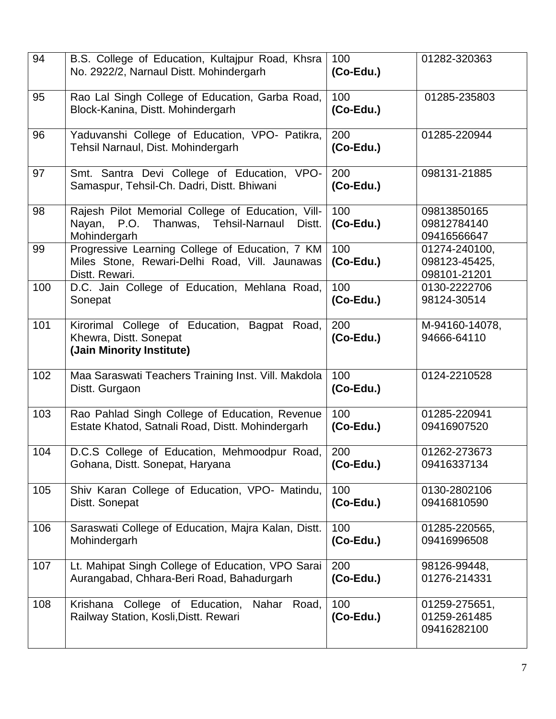| 94  | B.S. College of Education, Kultajpur Road, Khsra<br>No. 2922/2, Narnaul Distt. Mohindergarh                              | 100<br>(Co-Edu.)    | 01282-320363                                   |
|-----|--------------------------------------------------------------------------------------------------------------------------|---------------------|------------------------------------------------|
| 95  | Rao Lal Singh College of Education, Garba Road,<br>Block-Kanina, Distt. Mohindergarh                                     | 100<br>(Co-Edu.)    | 01285-235803                                   |
| 96  | Yaduvanshi College of Education, VPO- Patikra,<br>Tehsil Narnaul, Dist. Mohindergarh                                     | 200<br>$(Co$ -Edu.) | 01285-220944                                   |
| 97  | Smt. Santra Devi College of Education, VPO-<br>Samaspur, Tehsil-Ch. Dadri, Distt. Bhiwani                                | 200<br>$(Co$ -Edu.) | 098131-21885                                   |
| 98  | Rajesh Pilot Memorial College of Education, Vill-<br>P.O.<br>Thanwas, Tehsil-Narnaul<br>Distt.<br>Nayan,<br>Mohindergarh | 100<br>(Co-Edu.)    | 09813850165<br>09812784140<br>09416566647      |
| 99  | Progressive Learning College of Education, 7 KM<br>Miles Stone, Rewari-Delhi Road, Vill. Jaunawas<br>Distt. Rewari.      | 100<br>$(Co$ -Edu.) | 01274-240100,<br>098123-45425,<br>098101-21201 |
| 100 | D.C. Jain College of Education, Mehlana Road,<br>Sonepat                                                                 | 100<br>(Co-Edu.)    | 0130-2222706<br>98124-30514                    |
| 101 | Kirorimal College of Education, Bagpat Road,<br>Khewra, Distt. Sonepat<br>(Jain Minority Institute)                      | 200<br>$(Co$ -Edu.) | M-94160-14078,<br>94666-64110                  |
| 102 | Maa Saraswati Teachers Training Inst. Vill. Makdola<br>Distt. Gurgaon                                                    | 100<br>(Co-Edu.)    | 0124-2210528                                   |
| 103 | Rao Pahlad Singh College of Education, Revenue<br>Estate Khatod, Satnali Road, Distt. Mohindergarh                       | 100<br>(Co-Edu.)    | 01285-220941<br>09416907520                    |
| 104 | D.C.S College of Education, Mehmoodpur Road,<br>Gohana, Distt. Sonepat, Haryana                                          | 200<br>(Co-Edu.)    | 01262-273673<br>09416337134                    |
| 105 | Shiv Karan College of Education, VPO- Matindu,<br>Distt. Sonepat                                                         | 100<br>(Co-Edu.)    | 0130-2802106<br>09416810590                    |
| 106 | Saraswati College of Education, Majra Kalan, Distt.<br>Mohindergarh                                                      | 100<br>(Co-Edu.)    | 01285-220565,<br>09416996508                   |
| 107 | Lt. Mahipat Singh College of Education, VPO Sarai<br>Aurangabad, Chhara-Beri Road, Bahadurgarh                           | 200<br>$(Co$ -Edu.) | 98126-99448,<br>01276-214331                   |
| 108 | Krishana<br>College of Education,<br>Nahar<br>Road,<br>Railway Station, Kosli, Distt. Rewari                             | 100<br>$(Co$ -Edu.) | 01259-275651,<br>01259-261485<br>09416282100   |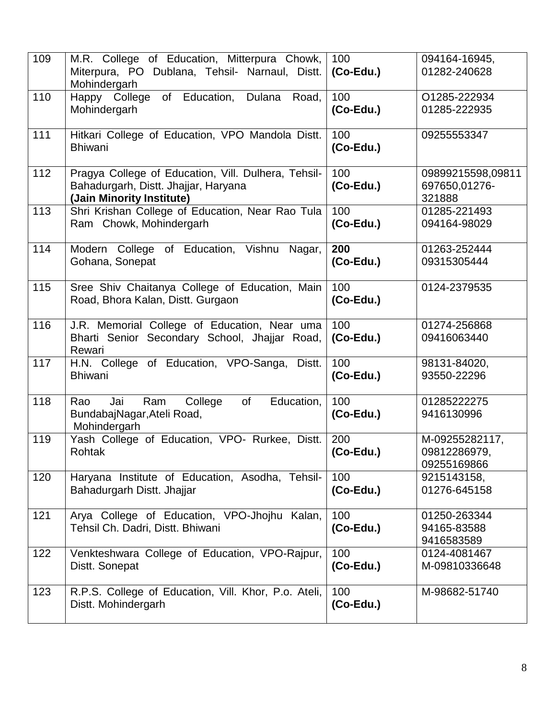| 109 | M.R. College of Education, Mitterpura Chowk,<br>Miterpura, PO Dublana, Tehsil- Narnaul, Distt.<br>Mohindergarh           | 100<br>$(Co$ -Edu.) | 094164-16945,<br>01282-240628                 |
|-----|--------------------------------------------------------------------------------------------------------------------------|---------------------|-----------------------------------------------|
| 110 | of Education,<br>Dulana<br>Happy College<br>Road,<br>Mohindergarh                                                        | 100<br>(Co-Edu.)    | O1285-222934<br>01285-222935                  |
| 111 | Hitkari College of Education, VPO Mandola Distt.<br><b>Bhiwani</b>                                                       | 100<br>$(Co-Edu.)$  | 09255553347                                   |
| 112 | Pragya College of Education, Vill. Dulhera, Tehsil-<br>Bahadurgarh, Distt. Jhajjar, Haryana<br>(Jain Minority Institute) | 100<br>(Co-Edu.)    | 09899215598,09811<br>697650,01276-<br>321888  |
| 113 | Shri Krishan College of Education, Near Rao Tula<br>Ram Chowk, Mohindergarh                                              | 100<br>$(Co-Edu.)$  | 01285-221493<br>094164-98029                  |
| 114 | Modern College of Education, Vishnu<br>Nagar,<br>Gohana, Sonepat                                                         | 200<br>(Co-Edu.)    | 01263-252444<br>09315305444                   |
| 115 | Sree Shiv Chaitanya College of Education, Main<br>Road, Bhora Kalan, Distt. Gurgaon                                      | 100<br>$(Co-Edu.)$  | 0124-2379535                                  |
| 116 | J.R. Memorial College of Education, Near uma<br>Bharti Senior Secondary School, Jhajjar Road,<br>Rewari                  | 100<br>$(Co-Edu.)$  | 01274-256868<br>09416063440                   |
| 117 | H.N. College of Education, VPO-Sanga, Distt.<br><b>Bhiwani</b>                                                           | 100<br>$(Co$ -Edu.) | 98131-84020,<br>93550-22296                   |
| 118 | College<br>of<br>Education,<br>Jai<br>Ram<br>Rao<br>BundabajNagar, Ateli Road,<br>Mohindergarh                           | 100<br>$(Co-Edu.)$  | 01285222275<br>9416130996                     |
| 119 | Yash College of Education, VPO- Rurkee, Distt.<br>Rohtak                                                                 | 200<br>$(Co$ -Edu.) | M-09255282117,<br>09812286979,<br>09255169866 |
| 120 | Haryana Institute of Education, Asodha, Tehsil-<br>Bahadurgarh Distt. Jhajjar                                            | 100<br>$(Co$ -Edu.) | 9215143158,<br>01276-645158                   |
| 121 | Arya College of Education, VPO-Jhojhu Kalan,<br>Tehsil Ch. Dadri, Distt. Bhiwani                                         | 100<br>$(Co$ -Edu.) | 01250-263344<br>94165-83588<br>9416583589     |
| 122 | Venkteshwara College of Education, VPO-Rajpur,<br>Distt. Sonepat                                                         | 100<br>(Co-Edu.)    | 0124-4081467<br>M-09810336648                 |
| 123 | R.P.S. College of Education, Vill. Khor, P.o. Ateli,<br>Distt. Mohindergarh                                              | 100<br>$(Co$ -Edu.) | M-98682-51740                                 |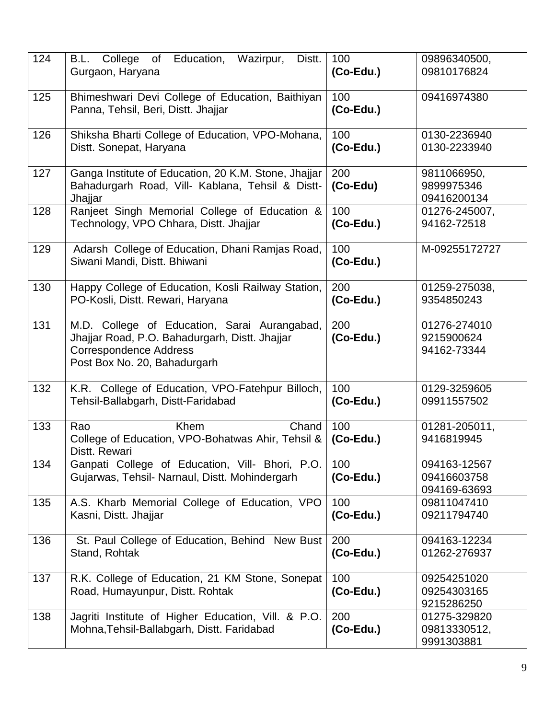| 124 | of Education,<br>Wazirpur,<br>B.L. College<br>Distt.<br>Gurgaon, Haryana                                                                                        | 100<br>$(Co-Edu.)$  | 09896340500,<br>09810176824                 |
|-----|-----------------------------------------------------------------------------------------------------------------------------------------------------------------|---------------------|---------------------------------------------|
| 125 | Bhimeshwari Devi College of Education, Baithiyan<br>Panna, Tehsil, Beri, Distt. Jhajjar                                                                         | 100<br>$(Co$ -Edu.) | 09416974380                                 |
| 126 | Shiksha Bharti College of Education, VPO-Mohana,<br>Distt. Sonepat, Haryana                                                                                     | 100<br>$(Co-Edu.)$  | 0130-2236940<br>0130-2233940                |
| 127 | Ganga Institute of Education, 20 K.M. Stone, Jhajjar<br>Bahadurgarh Road, Vill- Kablana, Tehsil & Distt-<br>Jhajjar                                             | 200<br>(Co-Edu)     | 9811066950,<br>9899975346<br>09416200134    |
| 128 | Ranjeet Singh Memorial College of Education &<br>Technology, VPO Chhara, Distt. Jhajjar                                                                         | 100<br>$(Co$ -Edu.) | 01276-245007,<br>94162-72518                |
| 129 | Adarsh College of Education, Dhani Ramjas Road,<br>Siwani Mandi, Distt. Bhiwani                                                                                 | 100<br>$(Co$ -Edu.) | M-09255172727                               |
| 130 | Happy College of Education, Kosli Railway Station,<br>PO-Kosli, Distt. Rewari, Haryana                                                                          | 200<br>$(Co$ -Edu.) | 01259-275038,<br>9354850243                 |
| 131 | M.D. College of Education, Sarai Aurangabad,<br>Jhajjar Road, P.O. Bahadurgarh, Distt. Jhajjar<br><b>Correspondence Address</b><br>Post Box No. 20, Bahadurgarh | 200<br>$(Co$ -Edu.) | 01276-274010<br>9215900624<br>94162-73344   |
| 132 | K.R. College of Education, VPO-Fatehpur Billoch,<br>Tehsil-Ballabgarh, Distt-Faridabad                                                                          | 100<br>(Co-Edu.)    | 0129-3259605<br>09911557502                 |
| 133 | <b>Khem</b><br>Rao<br>Chand<br>College of Education, VPO-Bohatwas Ahir, Tehsil &<br>Distt. Rewari                                                               | 100<br>$(Co$ -Edu.) | 01281-205011,<br>9416819945                 |
| 134 | Ganpati College of Education, Vill- Bhori, P.O.<br>Gujarwas, Tehsil- Narnaul, Distt. Mohindergarh                                                               | 100<br>(Co-Edu.)    | 094163-12567<br>09416603758<br>094169-63693 |
| 135 | A.S. Kharb Memorial College of Education, VPO<br>Kasni, Distt. Jhajjar                                                                                          | 100<br>(Co-Edu.)    | 09811047410<br>09211794740                  |
| 136 | St. Paul College of Education, Behind New Bust<br>Stand, Rohtak                                                                                                 | 200<br>(Co-Edu.)    | 094163-12234<br>01262-276937                |
| 137 | R.K. College of Education, 21 KM Stone, Sonepat<br>Road, Humayunpur, Distt. Rohtak                                                                              | 100<br>(Co-Edu.)    | 09254251020<br>09254303165<br>9215286250    |
| 138 | Jagriti Institute of Higher Education, Vill. & P.O.<br>Mohna, Tehsil-Ballabgarh, Distt. Faridabad                                                               | 200<br>(Co-Edu.)    | 01275-329820<br>09813330512,<br>9991303881  |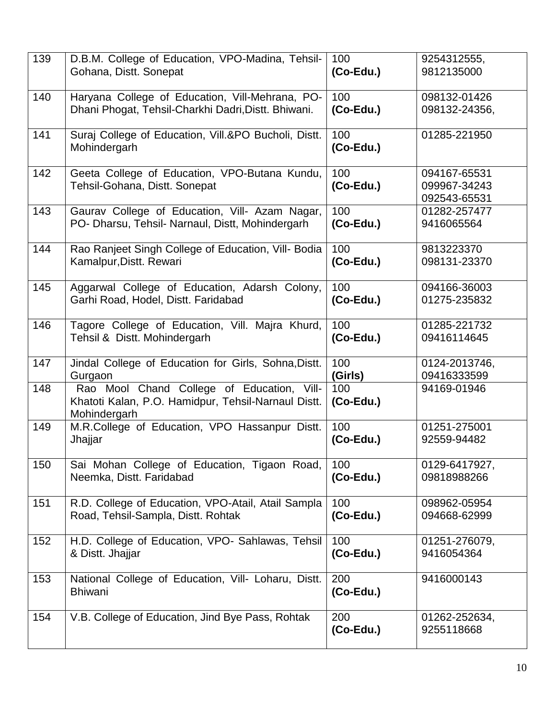| 139 | D.B.M. College of Education, VPO-Madina, Tehsil-                                                                  | 100                 | 9254312555,                                  |
|-----|-------------------------------------------------------------------------------------------------------------------|---------------------|----------------------------------------------|
|     | Gohana, Distt. Sonepat                                                                                            | (Co-Edu.)           | 9812135000                                   |
| 140 | Haryana College of Education, Vill-Mehrana, PO-                                                                   | 100                 | 098132-01426                                 |
|     | Dhani Phogat, Tehsil-Charkhi Dadri, Distt. Bhiwani.                                                               | $(Co$ -Edu.)        | 098132-24356,                                |
| 141 | Suraj College of Education, Vill.&PO Bucholi, Distt.<br>Mohindergarh                                              | 100<br>(Co-Edu.)    | 01285-221950                                 |
| 142 | Geeta College of Education, VPO-Butana Kundu,<br>Tehsil-Gohana, Distt. Sonepat                                    | 100<br>$(Co$ -Edu.) | 094167-65531<br>099967-34243<br>092543-65531 |
| 143 | Gaurav College of Education, Vill- Azam Nagar,                                                                    | 100                 | 01282-257477                                 |
|     | PO- Dharsu, Tehsil- Narnaul, Distt, Mohindergarh                                                                  | $(Co$ -Edu.)        | 9416065564                                   |
| 144 | Rao Ranjeet Singh College of Education, Vill- Bodia                                                               | 100                 | 9813223370                                   |
|     | Kamalpur, Distt. Rewari                                                                                           | (Co-Edu.)           | 098131-23370                                 |
| 145 | Aggarwal College of Education, Adarsh Colony,                                                                     | 100                 | 094166-36003                                 |
|     | Garhi Road, Hodel, Distt. Faridabad                                                                               | (Co-Edu.)           | 01275-235832                                 |
| 146 | Tagore College of Education, Vill. Majra Khurd,                                                                   | 100                 | 01285-221732                                 |
|     | Tehsil & Distt. Mohindergarh                                                                                      | $(Co$ -Edu.)        | 09416114645                                  |
| 147 | Jindal College of Education for Girls, Sohna, Distt.                                                              | 100                 | 0124-2013746,                                |
|     | Gurgaon                                                                                                           | (Girls)             | 09416333599                                  |
| 148 | Rao Mool Chand College of Education, Vill-<br>Khatoti Kalan, P.O. Hamidpur, Tehsil-Narnaul Distt.<br>Mohindergarh | 100<br>$(Co$ -Edu.) | 94169-01946                                  |
| 149 | M.R.College of Education, VPO Hassanpur Distt.                                                                    | 100                 | 01251-275001                                 |
|     | Jhajjar                                                                                                           | (Co-Edu.)           | 92559-94482                                  |
| 150 | Sai Mohan College of Education, Tigaon Road,                                                                      | 100                 | 0129-6417927,                                |
|     | Neemka, Distt. Faridabad                                                                                          | (Co-Edu.)           | 09818988266                                  |
| 151 | R.D. College of Education, VPO-Atail, Atail Sampla                                                                | 100                 | 098962-05954                                 |
|     | Road, Tehsil-Sampla, Distt. Rohtak                                                                                | (Co-Edu.)           | 094668-62999                                 |
| 152 | H.D. College of Education, VPO- Sahlawas, Tehsil                                                                  | 100                 | 01251-276079,                                |
|     | & Distt. Jhajjar                                                                                                  | $(Co$ -Edu.)        | 9416054364                                   |
| 153 | National College of Education, Vill- Loharu, Distt.<br><b>Bhiwani</b>                                             | 200<br>$(Co$ -Edu.) | 9416000143                                   |
| 154 | V.B. College of Education, Jind Bye Pass, Rohtak                                                                  | 200<br>$(Co$ -Edu.) | 01262-252634,<br>9255118668                  |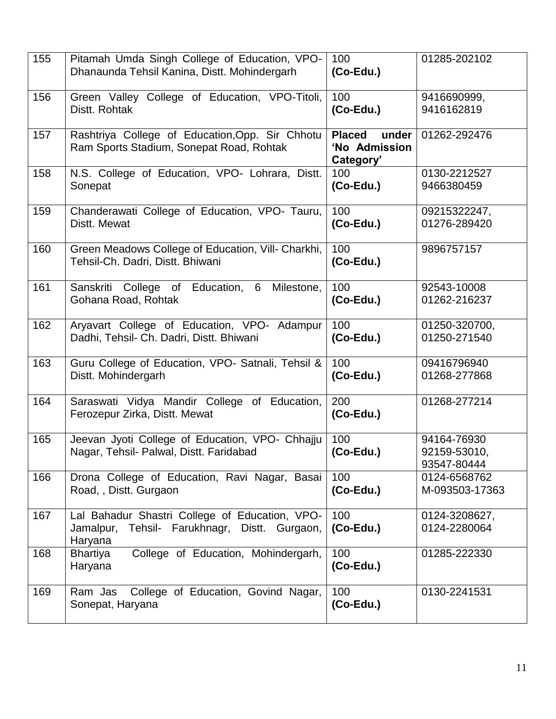| 155 | Pitamah Umda Singh College of Education, VPO-<br>Dhanaunda Tehsil Kanina, Distt. Mohindergarh                 | 100<br>$(Co$ -Edu.)                                  | 01285-202102                               |
|-----|---------------------------------------------------------------------------------------------------------------|------------------------------------------------------|--------------------------------------------|
| 156 | Green Valley College of Education, VPO-Titoli,<br>Distt. Rohtak                                               | 100<br>$(Co$ -Edu.)                                  | 9416690999,<br>9416162819                  |
| 157 | Rashtriya College of Education, Opp. Sir Chhotu<br>Ram Sports Stadium, Sonepat Road, Rohtak                   | <b>Placed</b><br>under<br>'No Admission<br>Category' | 01262-292476                               |
| 158 | N.S. College of Education, VPO- Lohrara, Distt.<br>Sonepat                                                    | 100<br>$(Co$ -Edu.)                                  | 0130-2212527<br>9466380459                 |
| 159 | Chanderawati College of Education, VPO- Tauru,<br>Distt. Mewat                                                | 100<br>$(Co$ -Edu.)                                  | 09215322247,<br>01276-289420               |
| 160 | Green Meadows College of Education, Vill- Charkhi,<br>Tehsil-Ch. Dadri, Distt. Bhiwani                        | 100<br>$(Co$ -Edu.)                                  | 9896757157                                 |
| 161 | Sanskriti College of Education, 6<br>Milestone,<br>Gohana Road, Rohtak                                        | 100<br>$(Co$ -Edu.)                                  | 92543-10008<br>01262-216237                |
| 162 | Aryavart College of Education, VPO- Adampur<br>Dadhi, Tehsil- Ch. Dadri, Distt. Bhiwani                       | 100<br>$(Co$ -Edu.)                                  | 01250-320700,<br>01250-271540              |
| 163 | Guru College of Education, VPO- Satnali, Tehsil &<br>Distt. Mohindergarh                                      | 100<br>$(Co$ -Edu.)                                  | 09416796940<br>01268-277868                |
| 164 | Saraswati Vidya Mandir College of Education,<br>Ferozepur Zirka, Distt. Mewat                                 | 200<br>$(Co$ -Edu.)                                  | 01268-277214                               |
| 165 | Jeevan Jyoti College of Education, VPO- Chhajju<br>Nagar, Tehsil- Palwal, Distt. Faridabad                    | 100<br>(Co-Edu.)                                     | 94164-76930<br>92159-53010,<br>93547-80444 |
| 166 | Drona College of Education, Ravi Nagar, Basai<br>Road, , Distt. Gurgaon                                       | 100<br>$(Co$ -Edu.)                                  | 0124-6568762<br>M-093503-17363             |
| 167 | Lal Bahadur Shastri College of Education, VPO-<br>Tehsil- Farukhnagr, Distt. Gurgaon,<br>Jamalpur,<br>Haryana | 100<br>$(Co$ -Edu.)                                  | 0124-3208627,<br>0124-2280064              |
| 168 | College of Education, Mohindergarh,<br><b>Bhartiya</b><br>Haryana                                             | 100<br>$(Co$ -Edu.)                                  | 01285-222330                               |
| 169 | Ram Jas College of Education, Govind Nagar,<br>Sonepat, Haryana                                               | 100<br>(Co-Edu.)                                     | 0130-2241531                               |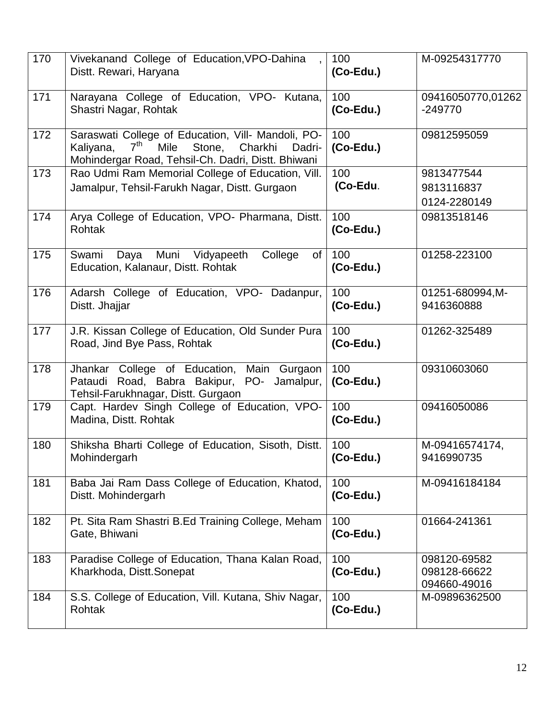| 170 | Vivekanand College of Education, VPO-Dahina<br>Distt. Rewari, Haryana                                                                                                                  | 100<br>(Co-Edu.)    | M-09254317770                                |
|-----|----------------------------------------------------------------------------------------------------------------------------------------------------------------------------------------|---------------------|----------------------------------------------|
| 171 | Narayana College of Education, VPO- Kutana,<br>Shastri Nagar, Rohtak                                                                                                                   | 100<br>(Co-Edu.)    | 09416050770,01262<br>$-249770$               |
| 172 | Saraswati College of Education, Vill- Mandoli, PO-<br>7 <sup>th</sup><br><b>Mile</b><br>Stone,<br>Kaliyana,<br>Charkhi<br>Dadri-<br>Mohindergar Road, Tehsil-Ch. Dadri, Distt. Bhiwani | 100<br>$(Co-Edu.)$  | 09812595059                                  |
| 173 | Rao Udmi Ram Memorial College of Education, Vill.<br>Jamalpur, Tehsil-Farukh Nagar, Distt. Gurgaon                                                                                     | 100<br>(Co-Edu.     | 9813477544<br>9813116837<br>0124-2280149     |
| 174 | Arya College of Education, VPO- Pharmana, Distt.<br>Rohtak                                                                                                                             | 100<br>(Co-Edu.)    | 09813518146                                  |
| 175 | Muni Vidyapeeth<br>Swami<br>Daya<br>College<br>of<br>Education, Kalanaur, Distt. Rohtak                                                                                                | 100<br>$(Co-Edu.)$  | 01258-223100                                 |
| 176 | Adarsh College of Education, VPO- Dadanpur,<br>Distt. Jhajjar                                                                                                                          | 100<br>$(Co-Edu.)$  | 01251-680994, M-<br>9416360888               |
| 177 | J.R. Kissan College of Education, Old Sunder Pura<br>Road, Jind Bye Pass, Rohtak                                                                                                       | 100<br>$(Co$ -Edu.) | 01262-325489                                 |
| 178 | Main<br>Jhankar College of Education,<br>Gurgaon<br>Pataudi Road, Babra Bakipur, PO- Jamalpur,<br>Tehsil-Farukhnagar, Distt. Gurgaon                                                   | 100<br>$(Co$ -Edu.) | 09310603060                                  |
| 179 | Capt. Hardev Singh College of Education, VPO-<br>Madina, Distt. Rohtak                                                                                                                 | 100<br>$(Co$ -Edu.) | 09416050086                                  |
| 180 | Shiksha Bharti College of Education, Sisoth, Distt.<br>Mohindergarh                                                                                                                    | 100<br>$(Co-Edu.)$  | M-09416574174,<br>9416990735                 |
| 181 | Baba Jai Ram Dass College of Education, Khatod,<br>Distt. Mohindergarh                                                                                                                 | 100<br>$(Co-Edu.)$  | M-09416184184                                |
| 182 | Pt. Sita Ram Shastri B.Ed Training College, Meham<br>Gate, Bhiwani                                                                                                                     | 100<br>$(Co$ -Edu.) | 01664-241361                                 |
| 183 | Paradise College of Education, Thana Kalan Road,<br>Kharkhoda, Distt.Sonepat                                                                                                           | 100<br>$(Co$ -Edu.) | 098120-69582<br>098128-66622<br>094660-49016 |
| 184 | S.S. College of Education, Vill. Kutana, Shiv Nagar,<br><b>Rohtak</b>                                                                                                                  | 100<br>$(Co$ -Edu.) | M-09896362500                                |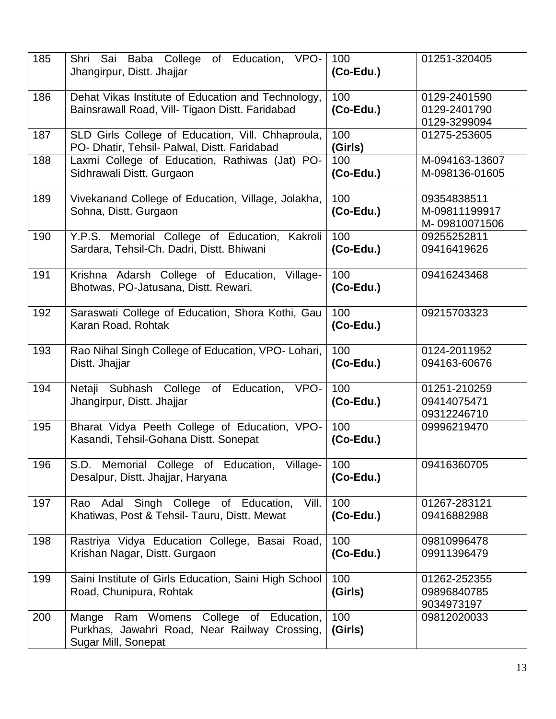| 185 | Shri Sai Baba College of Education, VPO-<br>Jhangirpur, Distt. Jhajjar                                            | 100<br>(Co-Edu.)    | 01251-320405                                  |
|-----|-------------------------------------------------------------------------------------------------------------------|---------------------|-----------------------------------------------|
| 186 | Dehat Vikas Institute of Education and Technology,<br>Bainsrawall Road, Vill- Tigaon Distt. Faridabad             | 100<br>$(Co$ -Edu.) | 0129-2401590<br>0129-2401790<br>0129-3299094  |
| 187 | SLD Girls College of Education, Vill. Chhaproula,<br>PO- Dhatir, Tehsil- Palwal, Distt. Faridabad                 | 100<br>(Girls)      | 01275-253605                                  |
| 188 | Laxmi College of Education, Rathiwas (Jat) PO-<br>Sidhrawali Distt. Gurgaon                                       | 100<br>$(Co-Edu.)$  | M-094163-13607<br>M-098136-01605              |
| 189 | Vivekanand College of Education, Village, Jolakha,<br>Sohna, Distt. Gurgaon                                       | 100<br>$(Co-Edu.)$  | 09354838511<br>M-09811199917<br>M-09810071506 |
| 190 | Y.P.S. Memorial College of Education, Kakroli<br>Sardara, Tehsil-Ch. Dadri, Distt. Bhiwani                        | 100<br>$(Co-Edu.)$  | 09255252811<br>09416419626                    |
| 191 | Krishna Adarsh College of Education, Village-<br>Bhotwas, PO-Jatusana, Distt. Rewari.                             | 100<br>$(Co-Edu.)$  | 09416243468                                   |
| 192 | Saraswati College of Education, Shora Kothi, Gau<br>Karan Road, Rohtak                                            | 100<br>$(Co-Edu.)$  | 09215703323                                   |
| 193 | Rao Nihal Singh College of Education, VPO- Lohari,<br>Distt. Jhajjar                                              | 100<br>$(Co-Edu.)$  | 0124-2011952<br>094163-60676                  |
| 194 | Netaji Subhash College<br>Education,<br>of<br>VPO-<br>Jhangirpur, Distt. Jhajjar                                  | 100<br>$(Co-Edu.)$  | 01251-210259<br>09414075471<br>09312246710    |
| 195 | Bharat Vidya Peeth College of Education, VPO-<br>Kasandi, Tehsil-Gohana Distt. Sonepat                            | 100<br>(Co-Edu.)    | 09996219470                                   |
| 196 | S.D. Memorial College of Education, Village-<br>Desalpur, Distt. Jhajjar, Haryana                                 | 100<br>$(Co-Edu.)$  | 09416360705                                   |
| 197 | Rao Adal Singh College of Education,<br>Vill.<br>Khatiwas, Post & Tehsil- Tauru, Distt. Mewat                     | 100<br>$(Co-Edu.)$  | 01267-283121<br>09416882988                   |
| 198 | Rastriya Vidya Education College, Basai Road,<br>Krishan Nagar, Distt. Gurgaon                                    | 100<br>(Co-Edu.)    | 09810996478<br>09911396479                    |
| 199 | Saini Institute of Girls Education, Saini High School<br>Road, Chunipura, Rohtak                                  | 100<br>(Girls)      | 01262-252355<br>09896840785<br>9034973197     |
| 200 | College of Education,<br>Mange Ram Womens<br>Purkhas, Jawahri Road, Near Railway Crossing,<br>Sugar Mill, Sonepat | 100<br>(Girls)      | 09812020033                                   |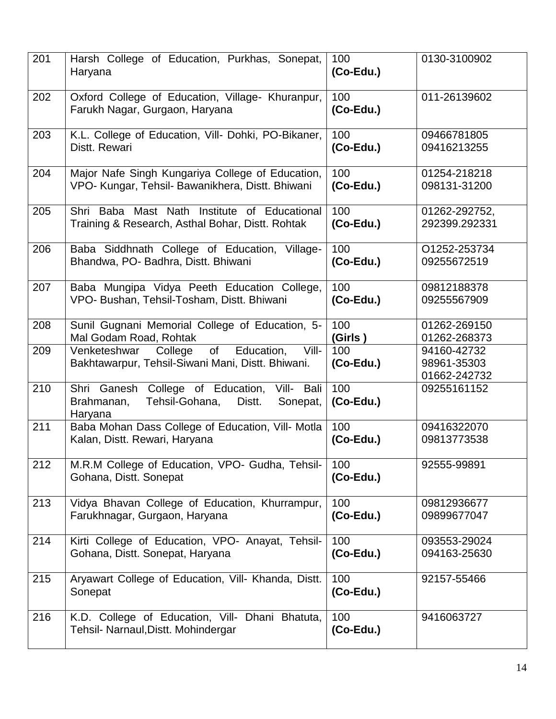| 201 | Harsh College of Education, Purkhas, Sonepat,<br>Haryana                                                         | 100<br>$(Co$ -Edu.) | 0130-3100902                               |
|-----|------------------------------------------------------------------------------------------------------------------|---------------------|--------------------------------------------|
| 202 | Oxford College of Education, Village- Khuranpur,<br>Farukh Nagar, Gurgaon, Haryana                               | 100<br>(Co-Edu.)    | 011-26139602                               |
| 203 | K.L. College of Education, Vill- Dohki, PO-Bikaner,                                                              | 100                 | 09466781805                                |
|     | Distt. Rewari                                                                                                    | $(Co$ -Edu.)        | 09416213255                                |
| 204 | Major Nafe Singh Kungariya College of Education,                                                                 | 100                 | 01254-218218                               |
|     | VPO- Kungar, Tehsil- Bawanikhera, Distt. Bhiwani                                                                 | $(Co$ -Edu.)        | 098131-31200                               |
| 205 | Shri Baba Mast Nath Institute of Educational                                                                     | 100                 | 01262-292752,                              |
|     | Training & Research, Asthal Bohar, Distt. Rohtak                                                                 | $(Co$ -Edu.)        | 292399.292331                              |
| 206 | Baba Siddhnath College of Education, Village-                                                                    | 100                 | O1252-253734                               |
|     | Bhandwa, PO- Badhra, Distt. Bhiwani                                                                              | $(Co$ -Edu.)        | 09255672519                                |
| 207 | Baba Mungipa Vidya Peeth Education College,                                                                      | 100                 | 09812188378                                |
|     | VPO- Bushan, Tehsil-Tosham, Distt. Bhiwani                                                                       | $(Co-Edu.)$         | 09255567909                                |
| 208 | Sunil Gugnani Memorial College of Education, 5-                                                                  | 100                 | 01262-269150                               |
|     | Mal Godam Road, Rohtak                                                                                           | (Girls)             | 01262-268373                               |
| 209 | of<br>Education,<br>Vill-<br>Venketeshwar<br>College<br>Bakhtawarpur, Tehsil-Siwani Mani, Distt. Bhiwani.        | 100<br>$(Co$ -Edu.) | 94160-42732<br>98961-35303<br>01662-242732 |
| 210 | Shri Ganesh College of Education,<br>Vill- Bali<br>Brahmanan,<br>Tehsil-Gohana,<br>Distt.<br>Sonepat,<br>Haryana | 100<br>$(Co$ -Edu.) | 09255161152                                |
| 211 | Baba Mohan Dass College of Education, Vill- Motla                                                                | 100                 | 09416322070                                |
|     | Kalan, Distt. Rewari, Haryana                                                                                    | $(Co$ -Edu.)        | 09813773538                                |
| 212 | M.R.M College of Education, VPO- Gudha, Tehsil-<br>Gohana, Distt. Sonepat                                        | 100<br>$(Co-Edu.)$  | 92555-99891                                |
| 213 | Vidya Bhavan College of Education, Khurrampur,                                                                   | 100                 | 09812936677                                |
|     | Farukhnagar, Gurgaon, Haryana                                                                                    | $(Co-Edu.)$         | 09899677047                                |
| 214 | Kirti College of Education, VPO- Anayat, Tehsil-                                                                 | 100                 | 093553-29024                               |
|     | Gohana, Distt. Sonepat, Haryana                                                                                  | $(Co-Edu.)$         | 094163-25630                               |
| 215 | Aryawart College of Education, Vill- Khanda, Distt.<br>Sonepat                                                   | 100<br>$(Co$ -Edu.) | 92157-55466                                |
| 216 | K.D. College of Education, Vill- Dhani Bhatuta,<br>Tehsil- Narnaul, Distt. Mohindergar                           | 100<br>(Co-Edu.)    | 9416063727                                 |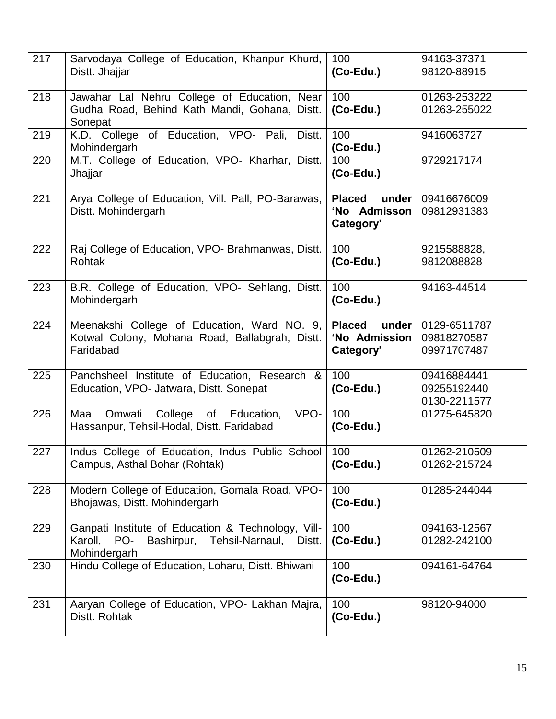| 217 | Sarvodaya College of Education, Khanpur Khurd,<br>Distt. Jhajjar                                                                | 100<br>(Co-Edu.)                                     | 94163-37371<br>98120-88915                 |
|-----|---------------------------------------------------------------------------------------------------------------------------------|------------------------------------------------------|--------------------------------------------|
| 218 | Jawahar Lal Nehru College of Education, Near<br>Gudha Road, Behind Kath Mandi, Gohana, Distt.<br>Sonepat                        | 100<br>(Co-Edu.)                                     | 01263-253222<br>01263-255022               |
| 219 | K.D. College of Education, VPO- Pali,<br>Distt.<br>Mohindergarh                                                                 | 100<br>$(Co$ -Edu.)                                  | 9416063727                                 |
| 220 | M.T. College of Education, VPO- Kharhar, Distt.<br>Jhajjar                                                                      | 100<br>(Co-Edu.)                                     | 9729217174                                 |
| 221 | Arya College of Education, Vill. Pall, PO-Barawas,<br>Distt. Mohindergarh                                                       | <b>Placed</b><br>under<br>'No Admisson<br>Category'  | 09416676009<br>09812931383                 |
| 222 | Raj College of Education, VPO- Brahmanwas, Distt.<br><b>Rohtak</b>                                                              | 100<br>$(Co$ -Edu.)                                  | 9215588828,<br>9812088828                  |
| 223 | B.R. College of Education, VPO- Sehlang, Distt.<br>Mohindergarh                                                                 | 100<br>(Co-Edu.)                                     | 94163-44514                                |
| 224 | Meenakshi College of Education, Ward NO. 9,<br>Kotwal Colony, Mohana Road, Ballabgrah, Distt.<br>Faridabad                      | <b>Placed</b><br>under<br>'No Admission<br>Category' | 0129-6511787<br>09818270587<br>09971707487 |
| 225 | Panchsheel Institute of Education, Research &<br>Education, VPO- Jatwara, Distt. Sonepat                                        | 100<br>(Co-Edu.)                                     | 09416884441<br>09255192440<br>0130-2211577 |
| 226 | Omwati<br>College of Education,<br>VPO-<br>Maa<br>Hassanpur, Tehsil-Hodal, Distt. Faridabad                                     | 100<br>(Co-Edu.)                                     | 01275-645820                               |
| 227 | Indus College of Education, Indus Public School<br>Campus, Asthal Bohar (Rohtak)                                                | 100<br>(Co-Edu.)                                     | 01262-210509<br>01262-215724               |
| 228 | Modern College of Education, Gomala Road, VPO-<br>Bhojawas, Distt. Mohindergarh                                                 | 100<br>(Co-Edu.)                                     | 01285-244044                               |
| 229 | Ganpati Institute of Education & Technology, Vill-<br>Karoll,<br>PO-<br>Bashirpur,<br>Tehsil-Narnaul,<br>Distt.<br>Mohindergarh | 100<br>(Co-Edu.)                                     | 094163-12567<br>01282-242100               |
| 230 | Hindu College of Education, Loharu, Distt. Bhiwani                                                                              | 100<br>$(Co$ -Edu.)                                  | 094161-64764                               |
| 231 | Aaryan College of Education, VPO- Lakhan Majra,<br>Distt. Rohtak                                                                | 100<br>$(Co-Edu.)$                                   | 98120-94000                                |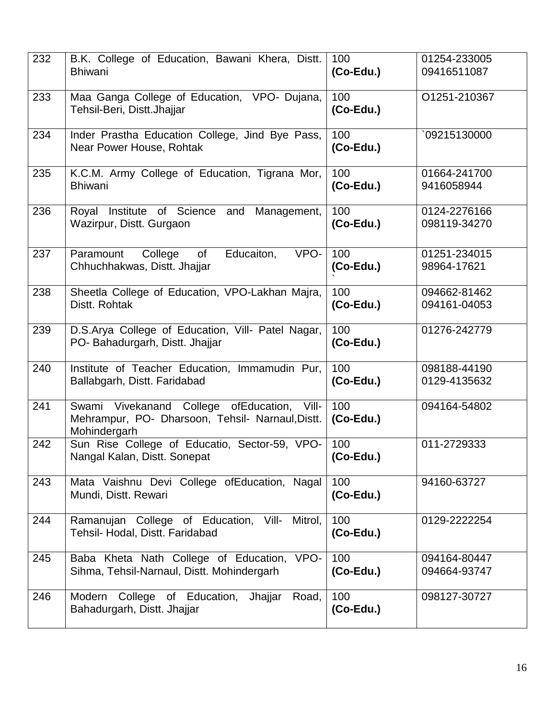| 232 | B.K. College of Education, Bawani Khera, Distt.<br><b>Bhiwani</b>                                                | 100<br>$(Co-Edu.)$  | 01254-233005<br>09416511087  |
|-----|------------------------------------------------------------------------------------------------------------------|---------------------|------------------------------|
| 233 | Maa Ganga College of Education, VPO- Dujana,<br>Tehsil-Beri, Distt.Jhajjar                                       | 100<br>$(Co$ -Edu.) | O1251-210367                 |
| 234 | Inder Prastha Education College, Jind Bye Pass,<br>Near Power House, Rohtak                                      | 100<br>$(Co$ -Edu.) | 09215130000                  |
| 235 | K.C.M. Army College of Education, Tigrana Mor,<br><b>Bhiwani</b>                                                 | 100<br>$(Co$ -Edu.) | 01664-241700<br>9416058944   |
| 236 | Royal Institute of Science and Management,<br>Wazirpur, Distt. Gurgaon                                           | 100<br>$(Co$ -Edu.) | 0124-2276166<br>098119-34270 |
| 237 | Educaiton,<br>VPO-<br>Paramount<br>College of<br>Chhuchhakwas, Distt. Jhajjar                                    | 100<br>$(Co$ -Edu.) | 01251-234015<br>98964-17621  |
| 238 | Sheetla College of Education, VPO-Lakhan Majra,<br>Distt. Rohtak                                                 | 100<br>(Co-Edu.)    | 094662-81462<br>094161-04053 |
| 239 | D.S.Arya College of Education, Vill- Patel Nagar,<br>PO- Bahadurgarh, Distt. Jhajjar                             | 100<br>$(Co$ -Edu.) | 01276-242779                 |
| 240 | Institute of Teacher Education, Immamudin Pur,<br>Ballabgarh, Distt. Faridabad                                   | 100<br>$(Co$ -Edu.) | 098188-44190<br>0129-4135632 |
| 241 | Swami Vivekanand College of Education, Vill-<br>Mehrampur, PO- Dharsoon, Tehsil- Narnaul, Distt.<br>Mohindergarh | 100<br>$(Co$ -Edu.) | 094164-54802                 |
| 242 | Sun Rise College of Educatio, Sector-59, VPO-<br>Nangal Kalan, Distt. Sonepat                                    | 100<br>(Co-Edu.)    | 011-2729333                  |
| 243 | Mata Vaishnu Devi College ofEducation, Nagal<br>Mundi, Distt. Rewari                                             | 100<br>(Co-Edu.)    | 94160-63727                  |
| 244 | Ramanujan College of Education, Vill- Mitrol,<br>Tehsil- Hodal, Distt. Faridabad                                 | 100<br>$(Co-Edu.)$  | 0129-2222254                 |
| 245 | Baba Kheta Nath College of Education, VPO-<br>Sihma, Tehsil-Narnaul, Distt. Mohindergarh                         | 100<br>$(Co$ -Edu.) | 094164-80447<br>094664-93747 |
| 246 | College of Education,<br>Modern<br>Jhajjar<br>Road,<br>Bahadurgarh, Distt. Jhajjar                               | 100<br>$(Co-Edu.)$  | 098127-30727                 |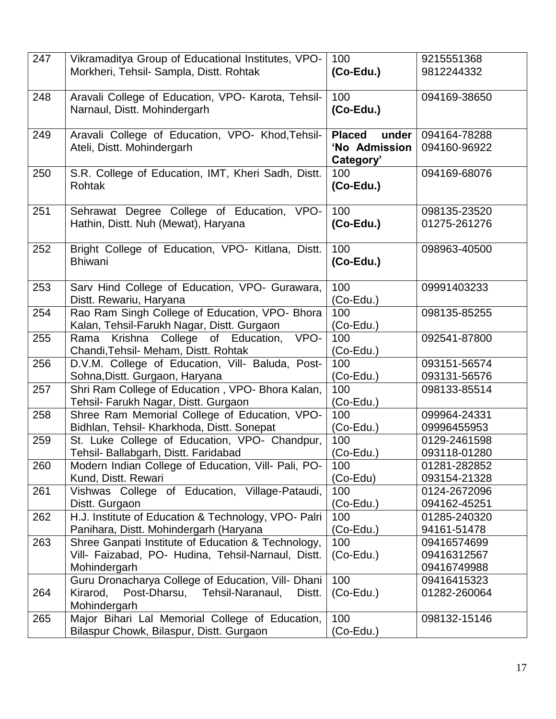| 247 | Vikramaditya Group of Educational Institutes, VPO-<br>Morkheri, Tehsil- Sampla, Distt. Rohtak                            | 100<br>$(Co-Edu.)$                                   | 9215551368<br>9812244332                  |
|-----|--------------------------------------------------------------------------------------------------------------------------|------------------------------------------------------|-------------------------------------------|
| 248 | Aravali College of Education, VPO- Karota, Tehsil-<br>Narnaul, Distt. Mohindergarh                                       | 100<br>(Co-Edu.)                                     | 094169-38650                              |
| 249 | Aravali College of Education, VPO- Khod, Tehsil-<br>Ateli, Distt. Mohindergarh                                           | <b>Placed</b><br>under<br>'No Admission<br>Category' | 094164-78288<br>094160-96922              |
| 250 | S.R. College of Education, IMT, Kheri Sadh, Distt.<br><b>Rohtak</b>                                                      | 100<br>(Co-Edu.)                                     | 094169-68076                              |
| 251 | Sehrawat Degree College of Education, VPO-<br>Hathin, Distt. Nuh (Mewat), Haryana                                        | 100<br>$(Co-Edu.)$                                   | 098135-23520<br>01275-261276              |
| 252 | Bright College of Education, VPO- Kitlana, Distt.<br><b>Bhiwani</b>                                                      | 100<br>$(Co$ -Edu.)                                  | 098963-40500                              |
| 253 | Sarv Hind College of Education, VPO- Gurawara,<br>Distt. Rewariu, Haryana                                                | 100<br>$(Co$ -Edu.)                                  | 09991403233                               |
| 254 | Rao Ram Singh College of Education, VPO- Bhora<br>Kalan, Tehsil-Farukh Nagar, Distt. Gurgaon                             | 100<br>$(Co$ -Edu.)                                  | 098135-85255                              |
| 255 | Krishna College of Education,<br>VPO-<br>Rama<br>Chandi, Tehsil- Meham, Distt. Rohtak                                    | 100<br>$(Co$ -Edu.)                                  | 092541-87800                              |
| 256 | D.V.M. College of Education, Vill- Baluda, Post-<br>Sohna, Distt. Gurgaon, Haryana                                       | 100<br>$(Co$ -Edu.)                                  | 093151-56574<br>093131-56576              |
| 257 | Shri Ram College of Education, VPO- Bhora Kalan,<br>Tehsil- Farukh Nagar, Distt. Gurgaon                                 | 100<br>$(Co$ -Edu.)                                  | 098133-85514                              |
| 258 | Shree Ram Memorial College of Education, VPO-<br>Bidhlan, Tehsil- Kharkhoda, Distt. Sonepat                              | 100<br>$(Co$ -Edu.)                                  | 099964-24331<br>09996455953               |
| 259 | St. Luke College of Education, VPO- Chandpur,<br>Tehsil- Ballabgarh, Distt. Faridabad                                    | 100<br>$(Co$ -Edu.)                                  | 0129-2461598<br>093118-01280              |
| 260 | Modern Indian College of Education, Vill- Pali, PO-<br>Kund, Distt. Rewari                                               | 100<br>(Co-Edu)                                      | 01281-282852<br>093154-21328              |
| 261 | Vishwas College of Education, Village-Pataudi,<br>Distt. Gurgaon                                                         | 100<br>$(Co$ -Edu.)                                  | 0124-2672096<br>094162-45251              |
| 262 | H.J. Institute of Education & Technology, VPO- Palri<br>Panihara, Distt. Mohindergarh (Haryana                           | 100<br>$(Co$ -Edu.)                                  | 01285-240320<br>94161-51478               |
| 263 | Shree Ganpati Institute of Education & Technology,<br>Vill- Faizabad, PO- Hudina, Tehsil-Narnaul, Distt.<br>Mohindergarh | 100<br>$(Co$ -Edu.)                                  | 09416574699<br>09416312567<br>09416749988 |
| 264 | Guru Dronacharya College of Education, Vill- Dhani<br>Kirarod, Post-Dharsu, Tehsil-Naranaul,<br>Distt.<br>Mohindergarh   | 100<br>$(Co$ -Edu.)                                  | 09416415323<br>01282-260064               |
| 265 | Major Bihari Lal Memorial College of Education,<br>Bilaspur Chowk, Bilaspur, Distt. Gurgaon                              | 100<br>$(Co$ -Edu.)                                  | 098132-15146                              |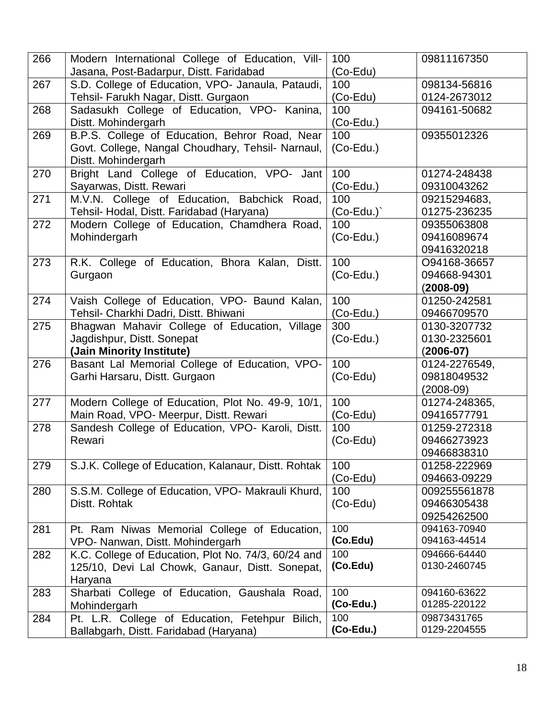| 266 | Modern International College of Education, Vill-                                             | 100              | 09811167350                 |
|-----|----------------------------------------------------------------------------------------------|------------------|-----------------------------|
|     | Jasana, Post-Badarpur, Distt. Faridabad                                                      | $(Co$ -Edu)      |                             |
| 267 | S.D. College of Education, VPO- Janaula, Pataudi,                                            | 100              | 098134-56816                |
|     | Tehsil- Farukh Nagar, Distt. Gurgaon                                                         | $(Co$ -Edu)      | 0124-2673012                |
| 268 | Sadasukh College of Education, VPO- Kanina,                                                  | 100              | 094161-50682                |
|     | Distt. Mohindergarh                                                                          | (Co-Edu.)        |                             |
| 269 | B.P.S. College of Education, Behror Road, Near                                               | 100              | 09355012326                 |
|     | Govt. College, Nangal Choudhary, Tehsil- Narnaul,                                            | $(Co$ -Edu.)     |                             |
|     | Distt. Mohindergarh                                                                          |                  |                             |
| 270 | Bright Land College of Education, VPO- Jant                                                  | 100              | 01274-248438                |
|     | Sayarwas, Distt. Rewari                                                                      | $(Co$ -Edu.)     | 09310043262                 |
| 271 | M.V.N. College of Education, Babchick Road,                                                  | 100              | 09215294683,                |
|     | Tehsil- Hodal, Distt. Faridabad (Haryana)                                                    | $(Co$ -Edu. $)$  | 01275-236235                |
| 272 | Modern College of Education, Chamdhera Road,                                                 | 100              | 09355063808                 |
|     | Mohindergarh                                                                                 | $(Co$ -Edu.)     | 09416089674                 |
|     |                                                                                              |                  | 09416320218                 |
| 273 | R.K. College of Education, Bhora Kalan, Distt.                                               | 100              | O94168-36657                |
|     | Gurgaon                                                                                      | $(Co$ -Edu.)     | 094668-94301                |
|     |                                                                                              |                  | $(2008-09)$                 |
| 274 | Vaish College of Education, VPO- Baund Kalan,                                                | 100              | 01250-242581                |
|     | Tehsil- Charkhi Dadri, Distt. Bhiwani                                                        | $(Co$ -Edu.)     | 09466709570                 |
| 275 | Bhagwan Mahavir College of Education, Village                                                | 300              | 0130-3207732                |
|     | Jagdishpur, Distt. Sonepat                                                                   | $(Co$ -Edu.)     | 0130-2325601                |
|     | (Jain Minority Institute)                                                                    |                  | $(2006-07)$                 |
| 276 | Basant Lal Memorial College of Education, VPO-                                               | 100              | 0124-2276549,               |
|     | Garhi Harsaru, Distt. Gurgaon                                                                | (Co-Edu)         | 09818049532                 |
|     |                                                                                              |                  |                             |
|     |                                                                                              |                  | $(2008-09)$                 |
| 277 | Modern College of Education, Plot No. 49-9, 10/1,                                            | 100              | 01274-248365,               |
|     | Main Road, VPO- Meerpur, Distt. Rewari                                                       | (Co-Edu)         | 09416577791                 |
| 278 | Sandesh College of Education, VPO- Karoli, Distt.                                            | 100              | 01259-272318                |
|     | Rewari                                                                                       | $(Co$ -Edu)      | 09466273923                 |
|     |                                                                                              |                  | 09466838310                 |
| 279 | S.J.K. College of Education, Kalanaur, Distt. Rohtak                                         | 100              | 01258-222969                |
|     |                                                                                              | $(Co$ -Edu)      | 094663-09229                |
| 280 | S.S.M. College of Education, VPO- Makrauli Khurd,                                            | 100              | 009255561878                |
|     | Distt. Rohtak                                                                                | (Co-Edu)         | 09466305438                 |
|     |                                                                                              |                  | 09254262500                 |
| 281 | Pt. Ram Niwas Memorial College of Education,                                                 | 100              | 094163-70940                |
|     | VPO- Nanwan, Distt. Mohindergarh                                                             | (Co.Edu)         | 094163-44514                |
| 282 | K.C. College of Education, Plot No. 74/3, 60/24 and                                          | 100              | 094666-64440                |
|     | 125/10, Devi Lal Chowk, Ganaur, Distt. Sonepat,                                              | (Co.Edu)         | 0130-2460745                |
|     | Haryana                                                                                      |                  |                             |
| 283 | Sharbati College of Education, Gaushala Road,                                                | 100              | 094160-63622                |
|     | Mohindergarh                                                                                 | (Co-Edu.)        | 01285-220122                |
| 284 | Pt. L.R. College of Education, Fetehpur<br>Bilich,<br>Ballabgarh, Distt. Faridabad (Haryana) | 100<br>(Co-Edu.) | 09873431765<br>0129-2204555 |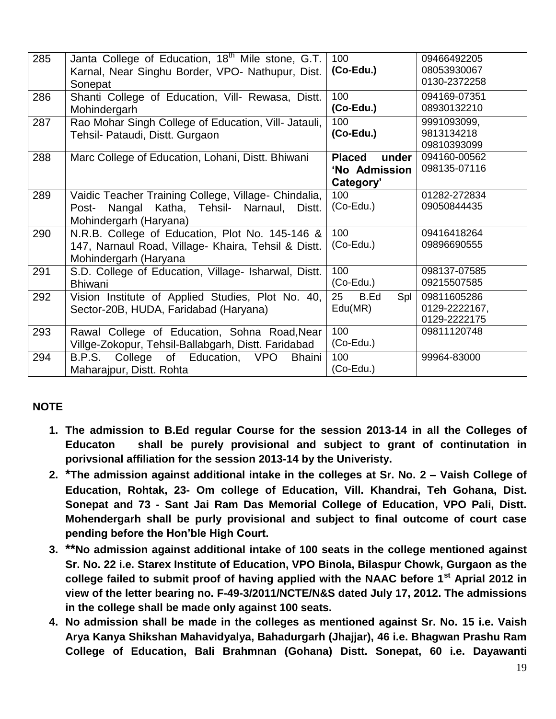| 285 | Janta College of Education, 18 <sup>th</sup> Mile stone, G.T.<br>Karnal, Near Singhu Border, VPO- Nathupur, Dist.<br>Sonepat        | 100<br>(Co-Edu.)                                     | 09466492205<br>08053930067<br>0130-2372258   |
|-----|-------------------------------------------------------------------------------------------------------------------------------------|------------------------------------------------------|----------------------------------------------|
| 286 | Shanti College of Education, Vill- Rewasa, Distt.<br>Mohindergarh                                                                   | 100<br>$(Co$ -Edu.)                                  | 094169-07351<br>08930132210                  |
| 287 | Rao Mohar Singh College of Education, Vill- Jatauli,<br>Tehsil- Pataudi, Distt. Gurgaon                                             | 100<br>$(Co$ -Edu.)                                  | 9991093099,<br>9813134218<br>09810393099     |
| 288 | Marc College of Education, Lohani, Distt. Bhiwani                                                                                   | <b>Placed</b><br>under<br>'No Admission<br>Category' | 094160-00562<br>098135-07116                 |
| 289 | Vaidic Teacher Training College, Village- Chindalia,<br>Nangal Katha, Tehsil- Narnaul,<br>Post-<br>Distt.<br>Mohindergarh (Haryana) | 100<br>$(Co$ -Edu.)                                  | 01282-272834<br>09050844435                  |
| 290 | N.R.B. College of Education, Plot No. 145-146 &<br>147, Narnaul Road, Village- Khaira, Tehsil & Distt.<br>Mohindergarh (Haryana     | 100<br>$(Co$ -Edu.)                                  | 09416418264<br>09896690555                   |
| 291 | S.D. College of Education, Village- Isharwal, Distt.<br><b>Bhiwani</b>                                                              | 100<br>$(Co$ -Edu.)                                  | 098137-07585<br>09215507585                  |
| 292 | Vision Institute of Applied Studies, Plot No. 40,<br>Sector-20B, HUDA, Faridabad (Haryana)                                          | 25<br>B.Ed<br>Spl<br>Edu(MR)                         | 09811605286<br>0129-2222167,<br>0129-2222175 |
| 293 | Rawal College of Education, Sohna Road, Near<br>Villge-Zokopur, Tehsil-Ballabgarh, Distt. Faridabad                                 | 100<br>$(Co$ -Edu.)                                  | 09811120748                                  |
| 294 | B.P.S. College of Education, VPO<br><b>Bhaini</b><br>Maharajpur, Distt. Rohta                                                       | 100<br>$(Co$ -Edu.)                                  | 99964-83000                                  |

# **NOTE**

- **1. The admission to B.Ed regular Course for the session 2013-14 in all the Colleges of Educaton shall be purely provisional and subject to grant of continutation in porivsional affiliation for the session 2013-14 by the Univeristy.**
- **2. \*The admission against additional intake in the colleges at Sr. No. 2 – Vaish College of Education, Rohtak, 23- Om college of Education, Vill. Khandrai, Teh Gohana, Dist. Sonepat and 73 - Sant Jai Ram Das Memorial College of Education, VPO Pali, Distt. Mohendergarh shall be purly provisional and subject to final outcome of court case pending before the Hon'ble High Court.**
- **3. \*\*No admission against additional intake of 100 seats in the college mentioned against Sr. No. 22 i.e. Starex Institute of Education, VPO Binola, Bilaspur Chowk, Gurgaon as the college failed to submit proof of having applied with the NAAC before 1st Aprial 2012 in view of the letter bearing no. F-49-3/2011/NCTE/N&S dated July 17, 2012. The admissions in the college shall be made only against 100 seats.**
- **4. No admission shall be made in the colleges as mentioned against Sr. No. 15 i.e. Vaish Arya Kanya Shikshan Mahavidyalya, Bahadurgarh (Jhajjar), 46 i.e. Bhagwan Prashu Ram College of Education, Bali Brahmnan (Gohana) Distt. Sonepat, 60 i.e. Dayawanti**